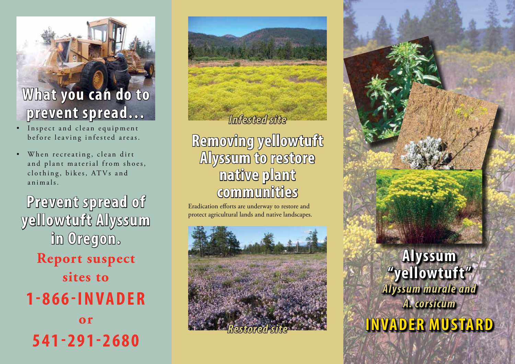## **What you can do to prevent spread…**

- Inspect and clean equipment before leaving infested areas.
- When recreating, clean dirt and plant material from shoes, clothing, bikes, ATVs and animals.

**Prevent spread of yellowtuft Alyssum in Oregon. Report suspect sites to 1-866-invader or 541-291-2680**



## **Removing yellowtuft Alyssum to restore native plant communities**

Eradication efforts are underway to restore and protect agricultural lands and native landscapes.



**Alyssum "yellowtuft"** *Alyssum murale and A. corsicum* **INVADER MUSTARD**